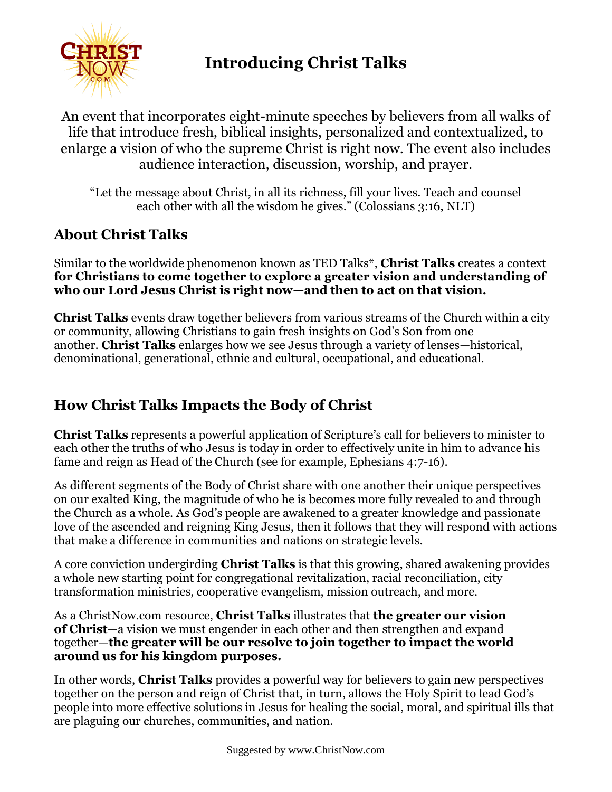

# **Introducing Christ Talks**

An event that incorporates eight-minute speeches by believers from all walks of life that introduce fresh, biblical insights, personalized and contextualized, to enlarge a vision of who the supreme Christ is right now. The event also includes audience interaction, discussion, worship, and prayer.

"Let the message about Christ, in all its richness, fill your lives. Teach and counsel each other with all the wisdom he gives." (Colossians 3:16, NLT)

#### **About Christ Talks**

Similar to the worldwide phenomenon known as TED Talks\*, **Christ Talks** creates a context **for Christians to come together to explore a greater vision and understanding of who our Lord Jesus Christ is right now—and then to act on that vision.**

**Christ Talks** events draw together believers from various streams of the Church within a city or community, allowing Christians to gain fresh insights on God's Son from one another. **Christ Talks** enlarges how we see Jesus through a variety of lenses—historical, denominational, generational, ethnic and cultural, occupational, and educational.

## **How Christ Talks Impacts the Body of Christ**

**Christ Talks** represents a powerful application of Scripture's call for believers to minister to each other the truths of who Jesus is today in order to effectively unite in him to advance his fame and reign as Head of the Church (see for example, Ephesians 4:7-16).

As different segments of the Body of Christ share with one another their unique perspectives on our exalted King, the magnitude of who he is becomes more fully revealed to and through the Church as a whole. As God's people are awakened to a greater knowledge and passionate love of the ascended and reigning King Jesus, then it follows that they will respond with actions that make a difference in communities and nations on strategic levels.

A core conviction undergirding **Christ Talks** is that this growing, shared awakening provides a whole new starting point for congregational revitalization, racial reconciliation, city transformation ministries, cooperative evangelism, mission outreach, and more.

As a ChristNow.com resource, **Christ Talks** illustrates that **the greater our vision of Christ**—a vision we must engender in each other and then strengthen and expand together—**the greater will be our resolve to join together to impact the world around us for his kingdom purposes.**

In other words, **Christ Talks** provides a powerful way for believers to gain new perspectives together on the person and reign of Christ that, in turn, allows the Holy Spirit to lead God's people into more effective solutions in Jesus for healing the social, moral, and spiritual ills that are plaguing our churches, communities, and nation.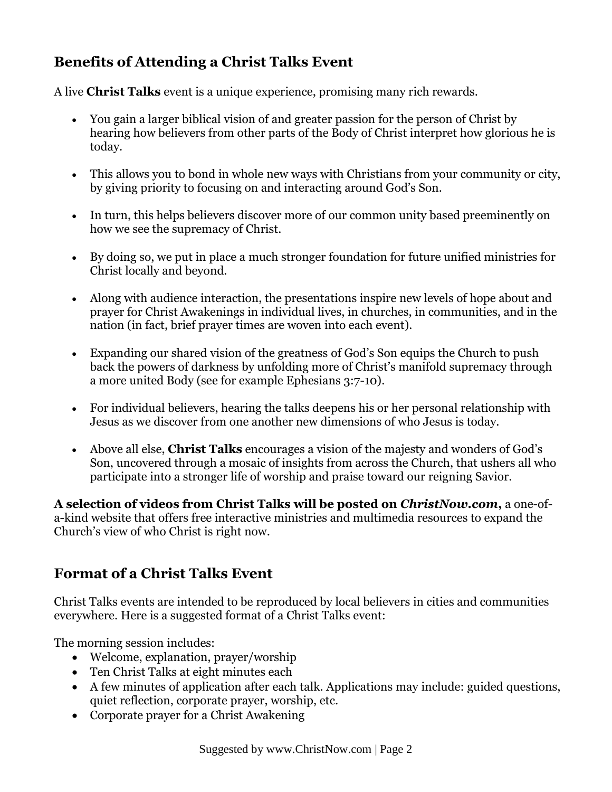# **Benefits of Attending a Christ Talks Event**

A live **Christ Talks** event is a unique experience, promising many rich rewards.

- You gain a larger biblical vision of and greater passion for the person of Christ by hearing how believers from other parts of the Body of Christ interpret how glorious he is today.
- This allows you to bond in whole new ways with Christians from your community or city, by giving priority to focusing on and interacting around God's Son.
- In turn, this helps believers discover more of our common unity based preeminently on how we see the supremacy of Christ.
- By doing so, we put in place a much stronger foundation for future unified ministries for Christ locally and beyond.
- Along with audience interaction, the presentations inspire new levels of hope about and prayer for Christ Awakenings in individual lives, in churches, in communities, and in the nation (in fact, brief prayer times are woven into each event).
- Expanding our shared vision of the greatness of God's Son equips the Church to push back the powers of darkness by unfolding more of Christ's manifold supremacy through a more united Body (see for example Ephesians 3:7-10).
- For individual believers, hearing the talks deepens his or her personal relationship with Jesus as we discover from one another new dimensions of who Jesus is today.
- Above all else, **Christ Talks** encourages a vision of the majesty and wonders of God's Son, uncovered through a mosaic of insights from across the Church, that ushers all who participate into a stronger life of worship and praise toward our reigning Savior.

**A selection of videos from Christ Talks will be posted on** *ChristNow.com***,** a one-ofa-kind website that offers free interactive ministries and multimedia resources to expand the Church's view of who Christ is right now.

# **Format of a Christ Talks Event**

Christ Talks events are intended to be reproduced by local believers in cities and communities everywhere. Here is a suggested format of a Christ Talks event:

The morning session includes:

- Welcome, explanation, prayer/worship
- Ten Christ Talks at eight minutes each
- A few minutes of application after each talk. Applications may include: guided questions, quiet reflection, corporate prayer, worship, etc.
- Corporate prayer for a Christ Awakening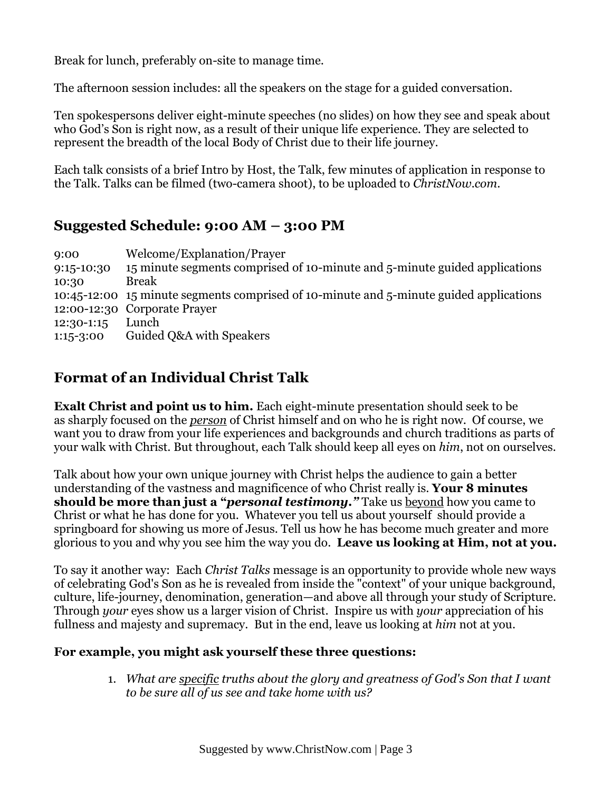Break for lunch, preferably on-site to manage time.

The afternoon session includes: all the speakers on the stage for a guided conversation.

Ten spokespersons deliver eight-minute speeches (no slides) on how they see and speak about who God's Son is right now, as a result of their unique life experience. They are selected to represent the breadth of the local Body of Christ due to their life journey.

Each talk consists of a brief Intro by Host, the Talk, few minutes of application in response to the Talk. Talks can be filmed (two-camera shoot), to be uploaded to *ChristNow.com*.

#### **Suggested Schedule: 9:00 AM – 3:00 PM**

| 9:00         | Welcome/Explanation/Prayer                                                             |
|--------------|----------------------------------------------------------------------------------------|
| 9:15-10:30   | 15 minute segments comprised of 10-minute and 5-minute guided applications             |
| 10:30        | <b>Break</b>                                                                           |
|              | 10:45-12:00 15 minute segments comprised of 10-minute and 5-minute guided applications |
|              | 12:00-12:30 Corporate Prayer                                                           |
| $12:30-1:15$ | Lunch                                                                                  |
| $1:15-3:00$  | Guided Q&A with Speakers                                                               |

# **Format of an Individual Christ Talk**

**Exalt Christ and point us to him.** Each eight-minute presentation should seek to be as sharply focused on the *person* of Christ himself and on who he is right now. Of course, we want you to draw from your life experiences and backgrounds and church traditions as parts of your walk with Christ. But throughout, each Talk should keep all eyes on *him*, not on ourselves.

Talk about how your own unique journey with Christ helps the audience to gain a better understanding of the vastness and magnificence of who Christ really is. **Your 8 minutes should be more than just a "***personal testimony."* Take us beyond how you came to Christ or what he has done for you. Whatever you tell us about yourself should provide a springboard for showing us more of Jesus. Tell us how he has become much greater and more glorious to you and why you see him the way you do. **Leave us looking at Him, not at you.**

To say it another way: Each *Christ Talks* message is an opportunity to provide whole new ways of celebrating God's Son as he is revealed from inside the "context" of your unique background, culture, life-journey, denomination, generation—and above all through your study of Scripture. Through *your* eyes show us a larger vision of Christ. Inspire us with *your* appreciation of his fullness and majesty and supremacy. But in the end, leave us looking at *him* not at you.

#### **For example, you might ask yourself these three questions:**

1. *What are specific truths about the glory and greatness of God's Son that I want to be sure all of us see and take home with us?*